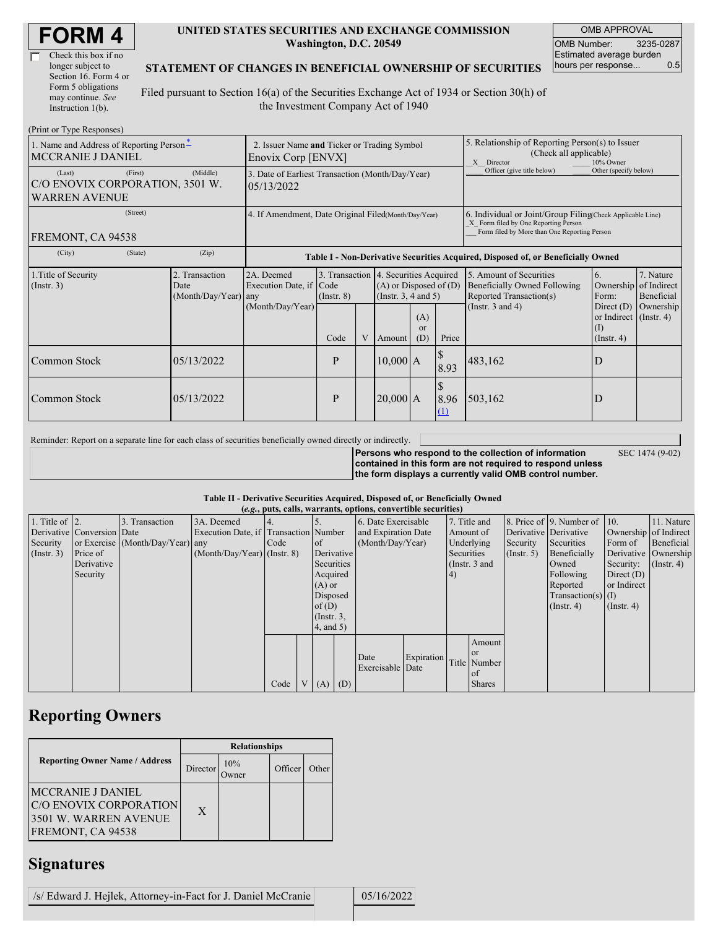| <b>FORM4</b> |
|--------------|
|--------------|

| Check this box if no  |
|-----------------------|
| longer subject to     |
| Section 16. Form 4 or |
| Form 5 obligations    |
| may continue. See     |
| Instruction 1(b).     |

#### **UNITED STATES SECURITIES AND EXCHANGE COMMISSION Washington, D.C. 20549**

OMB APPROVAL OMB Number: 3235-0287 Estimated average burden hours per response... 0.5

### **STATEMENT OF CHANGES IN BENEFICIAL OWNERSHIP OF SECURITIES**

Filed pursuant to Section 16(a) of the Securities Exchange Act of 1934 or Section 30(h) of the Investment Company Act of 1940

| (Print or Type Responses)                                                             |                                                                   |                                                                                  |                 |   |                                                                                                 |                             |                                                                                                                                                    |                                                                                    |                                                                         |                                        |
|---------------------------------------------------------------------------------------|-------------------------------------------------------------------|----------------------------------------------------------------------------------|-----------------|---|-------------------------------------------------------------------------------------------------|-----------------------------|----------------------------------------------------------------------------------------------------------------------------------------------------|------------------------------------------------------------------------------------|-------------------------------------------------------------------------|----------------------------------------|
| 1. Name and Address of Reporting Person-<br>MCCRANIE J DANIEL                         | 2. Issuer Name and Ticker or Trading Symbol<br>Enovix Corp [ENVX] |                                                                                  |                 |   |                                                                                                 |                             | 5. Relationship of Reporting Person(s) to Issuer<br>(Check all applicable)<br>X Director<br>10% Owner                                              |                                                                                    |                                                                         |                                        |
| (First)<br>(Last)<br>C/O ENOVIX CORPORATION, 3501 W.<br><b>WARREN AVENUE</b>          | 3. Date of Earliest Transaction (Month/Day/Year)<br>05/13/2022    |                                                                                  |                 |   |                                                                                                 |                             | Officer (give title below)                                                                                                                         | Other (specify below)                                                              |                                                                         |                                        |
| (Street)<br>FREMONT, CA 94538                                                         | 4. If Amendment, Date Original Filed(Month/Day/Year)              |                                                                                  |                 |   |                                                                                                 |                             | 6. Individual or Joint/Group Filing Check Applicable Line)<br>X Form filed by One Reporting Person<br>Form filed by More than One Reporting Person |                                                                                    |                                                                         |                                        |
| (City)<br>(State)                                                                     | (Zip)                                                             | Table I - Non-Derivative Securities Acquired, Disposed of, or Beneficially Owned |                 |   |                                                                                                 |                             |                                                                                                                                                    |                                                                                    |                                                                         |                                        |
| 1. Title of Security<br>2. Transaction<br>(Insert. 3)<br>Date<br>(Month/Day/Year) any |                                                                   | 2A. Deemed<br>Execution Date, if Code                                            | $($ Instr. $8)$ |   | 3. Transaction 4. Securities Acquired<br>$(A)$ or Disposed of $(D)$<br>(Instr. $3, 4$ and $5$ ) |                             |                                                                                                                                                    | 5. Amount of Securities<br>Beneficially Owned Following<br>Reported Transaction(s) | 6.<br>Ownership<br>Form:                                                | 7. Nature<br>of Indirect<br>Beneficial |
|                                                                                       |                                                                   | (Month/Day/Year)                                                                 | Code            | V | Amount                                                                                          | (A)<br><sub>or</sub><br>(D) | Price                                                                                                                                              | (Instr. $3$ and $4$ )                                                              | Direct $(D)$<br>or Indirect $($ Instr. 4 $)$<br>(1)<br>$($ Instr. 4 $)$ | Ownership                              |
| Common Stock                                                                          | 05/13/2022                                                        |                                                                                  | P               |   | $10,000$ A                                                                                      |                             | 8.93                                                                                                                                               | 483,162                                                                            | D                                                                       |                                        |
| Common Stock                                                                          | 05/13/2022                                                        |                                                                                  | P               |   | $20,000$ A                                                                                      |                             | 8.96<br>(1)                                                                                                                                        | 503,162                                                                            | D                                                                       |                                        |

Reminder: Report on a separate line for each class of securities beneficially owned directly or indirectly.

SEC 1474 (9-02)

**Persons who respond to the collection of information contained in this form are not required to respond unless the form displays a currently valid OMB control number.**

#### **Table II - Derivative Securities Acquired, Disposed of, or Beneficially Owned**

|                        | (e.g., puts, calls, warrants, options, convertible securities) |                                  |                                       |      |                |                 |  |                          |            |            |               |                  |                              |                       |                      |
|------------------------|----------------------------------------------------------------|----------------------------------|---------------------------------------|------|----------------|-----------------|--|--------------------------|------------|------------|---------------|------------------|------------------------------|-----------------------|----------------------|
| 1. Title of $\vert$ 2. |                                                                | 3. Transaction                   | 3A. Deemed                            |      |                |                 |  | 6. Date Exercisable      |            |            | 7. Title and  |                  | 8. Price of 9. Number of 10. |                       | 11. Nature           |
|                        | Derivative Conversion Date                                     |                                  | Execution Date, if Transaction Number |      |                |                 |  | and Expiration Date      |            | Amount of  |               |                  | Derivative Derivative        | Ownership of Indirect |                      |
| Security               |                                                                | or Exercise (Month/Day/Year) any |                                       | Code |                | $\circ$ f       |  | (Month/Day/Year)         |            |            | Underlying    | Security         | Securities                   | Form of               | Beneficial           |
| (Insert. 3)            | Price of                                                       |                                  | $(Month/Day/Year)$ (Instr. 8)         |      |                | Derivative      |  |                          |            | Securities |               | $($ Instr. 5 $)$ | Beneficially                 |                       | Derivative Ownership |
|                        | Derivative                                                     |                                  |                                       |      |                | Securities      |  |                          |            |            | (Instr. 3 and |                  | Owned                        | Security:             | $($ Instr. 4 $)$     |
|                        | Security                                                       |                                  |                                       |      |                | Acquired        |  |                          |            | (4)        |               |                  | Following                    | Direct $(D)$          |                      |
|                        |                                                                |                                  |                                       |      |                | $(A)$ or        |  |                          |            |            |               |                  | Reported                     | or Indirect           |                      |
|                        |                                                                |                                  |                                       |      |                | Disposed        |  |                          |            |            |               |                  | Transaction(s) $(I)$         |                       |                      |
|                        |                                                                |                                  |                                       |      |                | of $(D)$        |  |                          |            |            |               |                  | $($ Instr. 4 $)$             | $($ Instr. 4 $)$      |                      |
|                        |                                                                |                                  |                                       |      |                | $($ Instr. $3,$ |  |                          |            |            |               |                  |                              |                       |                      |
|                        |                                                                |                                  |                                       |      |                | 4, and 5)       |  |                          |            |            |               |                  |                              |                       |                      |
|                        |                                                                |                                  |                                       |      |                |                 |  |                          |            |            | Amount        |                  |                              |                       |                      |
|                        |                                                                |                                  |                                       |      |                |                 |  |                          |            |            | <b>or</b>     |                  |                              |                       |                      |
|                        |                                                                |                                  |                                       |      |                |                 |  | Date<br>Exercisable Date | Expiration |            | Title Number  |                  |                              |                       |                      |
|                        |                                                                |                                  |                                       |      |                |                 |  |                          |            |            | <b>of</b>     |                  |                              |                       |                      |
|                        |                                                                |                                  |                                       | Code | V <sub>1</sub> | $(A)$ $(D)$     |  |                          |            |            | <b>Shares</b> |                  |                              |                       |                      |

# **Reporting Owners**

|                                                                                           | <b>Relationships</b> |                     |         |       |  |  |  |  |
|-------------------------------------------------------------------------------------------|----------------------|---------------------|---------|-------|--|--|--|--|
| <b>Reporting Owner Name / Address</b>                                                     | Director             | 10%<br><b>Twner</b> | Officer | Other |  |  |  |  |
| MCCRANIE J DANIEL<br>C/O ENOVIX CORPORATION<br>3501 W. WARREN AVENUE<br>FREMONT, CA 94538 | X                    |                     |         |       |  |  |  |  |

## **Signatures**

| /s/ Edward J. Hejlek, Attorney-in-Fact for J. Daniel McCranie | 05/16/2022 |
|---------------------------------------------------------------|------------|
|                                                               |            |